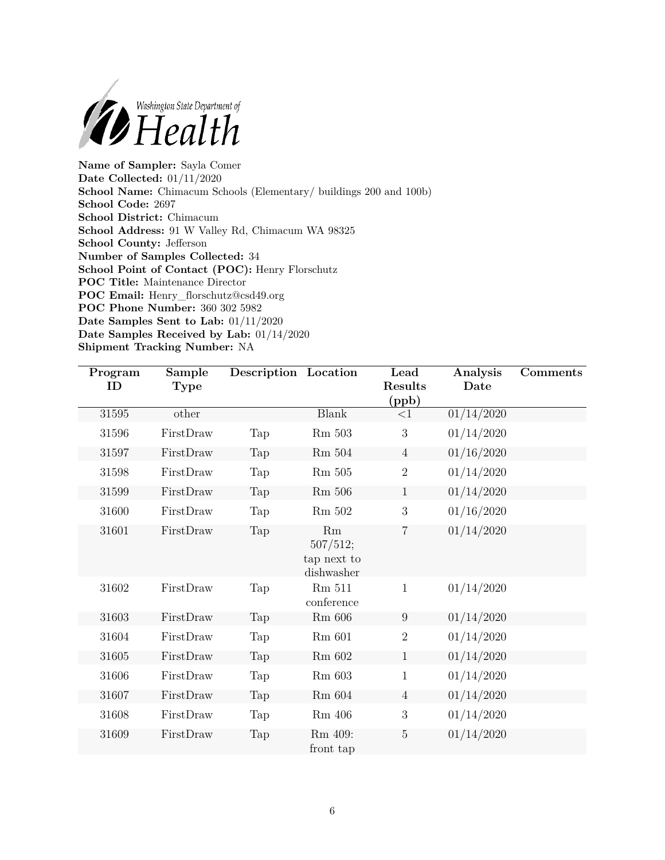

**Name of Sampler:** Sayla Comer **Date Collected:** 01/11/2020 **School Name:** Chimacum Schools (Elementary/ buildings 200 and 100b) **School Code:** 2697 **School District:** Chimacum **School Address:** 91 W Valley Rd, Chimacum WA 98325 **School County:** Jefferson **Number of Samples Collected:** 34 **School Point of Contact (POC):** Henry Florschutz **POC Title:** Maintenance Director **POC Email:** [Henry\\_florschutz@csd49.org](mailto:Henry_florschutz@csd49.org) **POC Phone Number:** 360 302 5982 **Date Samples Sent to Lab:** 01/11/2020 **Date Samples Received by Lab:** 01/14/2020 **Shipment Tracking Number:** NA

| Program<br>ID | Sample<br>Type | Description Location |                                             | Lead<br>Results<br>(ppb) | Analysis<br>Date | Comments |
|---------------|----------------|----------------------|---------------------------------------------|--------------------------|------------------|----------|
| 31595         | other          |                      | <b>Blank</b>                                | $<$ 1                    | 01/14/2020       |          |
| 31596         | FirstDraw      | Tap                  | Rm 503                                      | $\mathbf{3}$             | 01/14/2020       |          |
| 31597         | FirstDraw      | Tap                  | Rm 504                                      | $\overline{4}$           | 01/16/2020       |          |
| 31598         | FirstDraw      | Tap                  | <b>Rm</b> 505                               | $\sqrt{2}$               | 01/14/2020       |          |
| 31599         | FirstDraw      | Tap                  | $\rm Rm$ 506                                | $\mathbf{1}$             | 01/14/2020       |          |
| 31600         | FirstDraw      | Tap                  | Rm 502                                      | 3                        | 01/16/2020       |          |
| 31601         | FirstDraw      | Tap                  | Rm<br>507/512;<br>tap next to<br>dishwasher | $\overline{7}$           | 01/14/2020       |          |
| 31602         | FirstDraw      | Tap                  | Rm 511<br>conference                        | $\mathbf{1}$             | 01/14/2020       |          |
| 31603         | FirstDraw      | Tap                  | $Rm$ 606                                    | $9\phantom{.0}$          | 01/14/2020       |          |
| 31604         | FirstDraw      | Tap                  | $Rm$ 601                                    | $\overline{2}$           | 01/14/2020       |          |
| 31605         | FirstDraw      | Tap                  | Rm 602                                      | $\mathbf{1}$             | 01/14/2020       |          |
| 31606         | FirstDraw      | Tap                  | Rm 603                                      | $\mathbf{1}$             | 01/14/2020       |          |
| 31607         | FirstDraw      | Tap                  | $Rm$ 604                                    | 4                        | 01/14/2020       |          |
| 31608         | FirstDraw      | Tap                  | Rm 406                                      | 3                        | 01/14/2020       |          |
| 31609         | FirstDraw      | Tap                  | Rm 409:<br>front tap                        | $\mathbf 5$              | 01/14/2020       |          |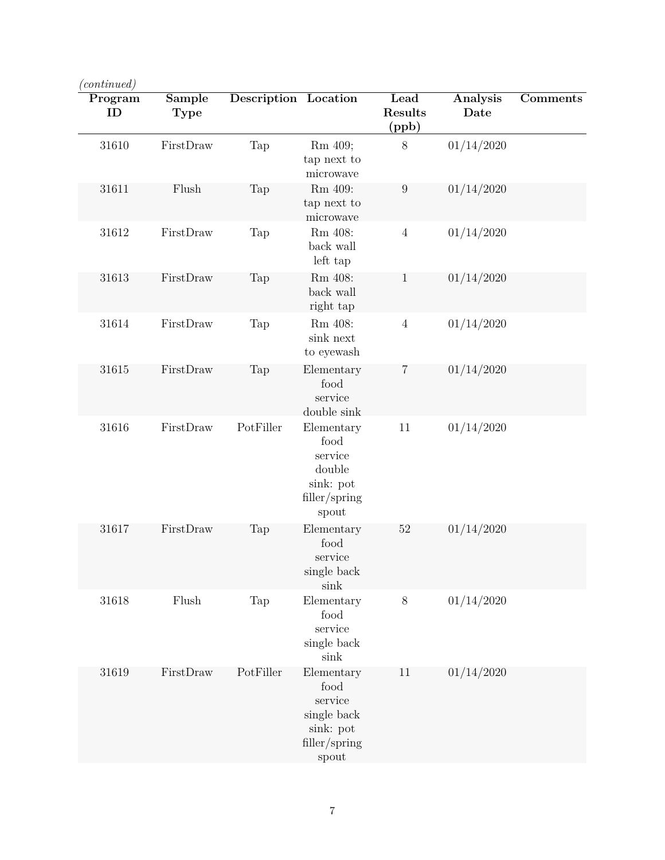| $\langle continued \rangle$ |                       |                             |                                                                                     |                          |                  |          |
|-----------------------------|-----------------------|-----------------------------|-------------------------------------------------------------------------------------|--------------------------|------------------|----------|
| Program<br>ID               | Sample<br><b>Type</b> | <b>Description</b> Location |                                                                                     | Lead<br>Results<br>(ppb) | Analysis<br>Date | Comments |
| 31610                       | FirstDraw             | Tap                         | Rm 409;<br>tap next to<br>microwave                                                 | $8\,$                    | 01/14/2020       |          |
| 31611                       | Flush                 | Tap                         | Rm 409:<br>tap next to<br>microwave                                                 | $\boldsymbol{9}$         | 01/14/2020       |          |
| 31612                       | FirstDraw             | Tap                         | Rm 408:<br>back wall<br>left tap                                                    | $\overline{4}$           | 01/14/2020       |          |
| 31613                       | FirstDraw             | Tap                         | Rm 408:<br>back wall<br>right tap                                                   | $\mathbf{1}$             | 01/14/2020       |          |
| 31614                       | FirstDraw             | Tap                         | Rm 408:<br>sink next<br>to eyewash                                                  | $\sqrt{4}$               | 01/14/2020       |          |
| 31615                       | FirstDraw             | Tap                         | Elementary<br>food<br>service<br>double sink                                        | 7                        | 01/14/2020       |          |
| 31616                       | FirstDraw             | PotFiller                   | Elementary<br>food<br>service<br>double<br>sink: pot<br>filler/spring<br>spout      | 11                       | 01/14/2020       |          |
| 31617                       | FirstDraw             | Tap                         | Elementary<br>food<br>service<br>single back<br>sink                                | 52                       | 01/14/2020       |          |
| 31618                       | Flush                 | Tap                         | Elementary<br>food<br>service<br>single back<br>sink                                | $8\,$                    | 01/14/2020       |          |
| 31619                       | FirstDraw             | PotFiller                   | Elementary<br>food<br>service<br>single back<br>sink: pot<br>filler/spring<br>spout | 11                       | 01/14/2020       |          |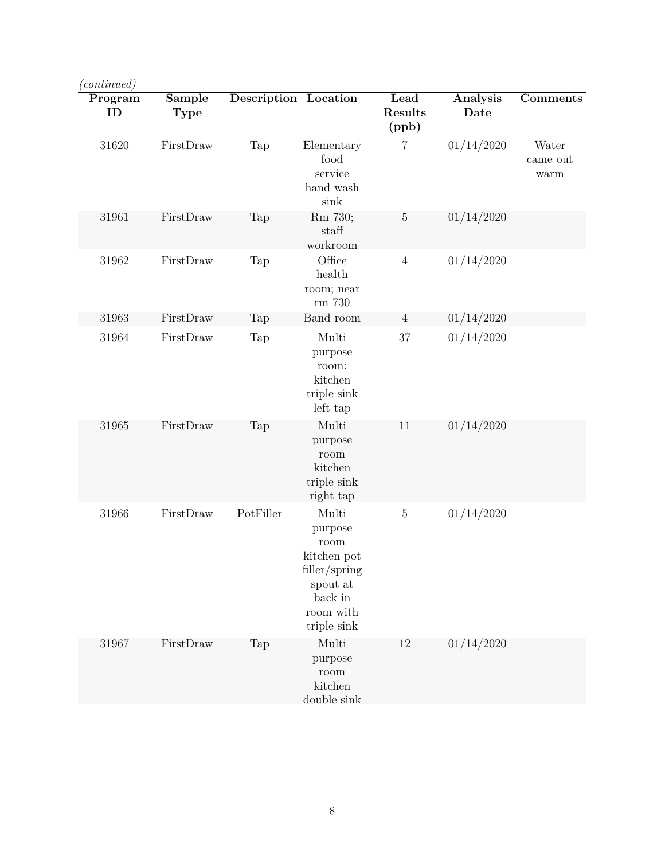| 'continued)   |                |                             |                                                                                                             |                          |                         |                           |
|---------------|----------------|-----------------------------|-------------------------------------------------------------------------------------------------------------|--------------------------|-------------------------|---------------------------|
| Program<br>ID | Sample<br>Type | <b>Description Location</b> |                                                                                                             | Lead<br>Results<br>(ppb) | <b>Analysis</b><br>Date | Comments                  |
| 31620         | FirstDraw      | Tap                         | Elementary<br>food<br>service<br>hand wash<br>sink                                                          | $\overline{7}$           | 01/14/2020              | Water<br>came out<br>warm |
| 31961         | FirstDraw      | Tap                         | Rm 730;<br>staff<br>workroom                                                                                | $\overline{5}$           | 01/14/2020              |                           |
| 31962         | FirstDraw      | Tap                         | Office<br>health<br>room; near<br>rm 730                                                                    | $\sqrt{4}$               | 01/14/2020              |                           |
| 31963         | FirstDraw      | Tap                         | Band room                                                                                                   | 4                        | 01/14/2020              |                           |
| 31964         | FirstDraw      | Tap                         | Multi<br>purpose<br>room:<br>kitchen<br>triple sink<br>left tap                                             | $37\,$                   | 01/14/2020              |                           |
| 31965         | FirstDraw      | Tap                         | Multi<br>purpose<br>room<br>kitchen<br>triple sink<br>right tap                                             | 11                       | 01/14/2020              |                           |
| 31966         | FirstDraw      | PotFiller                   | Multi<br>purpose<br>room<br>kitchen pot<br>filler/spring<br>spout at<br>back in<br>room with<br>triple sink | $\mathbf 5$              | 01/14/2020              |                           |
| 31967         | FirstDraw      | Tap                         | Multi<br>purpose<br>room<br>kitchen<br>double sink                                                          | 12                       | 01/14/2020              |                           |